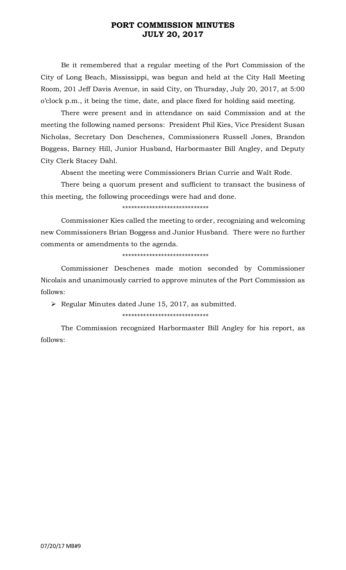## **PORT COMMISSION MINUTES JULY 20, 2017**

Be it remembered that a regular meeting of the Port Commission of the City of Long Beach, Mississippi, was begun and held at the City Hall Meeting Room, 201 Jeff Davis Avenue, in said City, on Thursday, July 20, 2017, at 5:00 o'clock p.m., it being the time, date, and place fixed for holding said meeting.

There were present and in attendance on said Commission and at the meeting the following named persons: President Phil Kies, Vice President Susan Nicholas, Secretary Don Deschenes, Commissioners Russell Jones, Brandon Boggess, Barney Hill, Junior Husband, Harbormaster Bill Angley, and Deputy City Clerk Stacey Dahl.

Absent the meeting were Commissioners Brian Currie and Walt Rode.

There being a quorum present and sufficient to transact the business of this meeting, the following proceedings were had and done.

\*\*\*\*\*\*\*\*\*\*\*\*\*\*\*\*\*\*\*\*\*\*\*\*\*\*\*\*\*

Commissioner Kies called the meeting to order, recognizing and welcoming new Commissioners Brian Boggess and Junior Husband. There were no further comments or amendments to the agenda.

\*\*\*\*\*\*\*\*\*\*\*\*\*\*\*\*\*\*\*\*\*\*\*\*\*\*\*\*\*

Commissioner Deschenes made motion seconded by Commissioner Nicolais and unanimously carried to approve minutes of the Port Commission as follows:

➢ Regular Minutes dated June 15, 2017, as submitted.

\*\*\*\*\*\*\*\*\*\*\*\*\*\*\*\*\*\*\*\*\*\*\*\*\*\*\*\*\*

The Commission recognized Harbormaster Bill Angley for his report, as follows: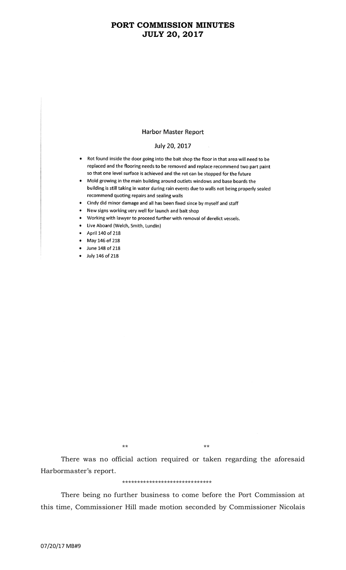## **PORT COMMISSION MINUTES JULY 20, 2017**

### **Harbor Master Report**

### July 20, 2017

- Rot found inside the door going into the bait shop the floor in that area will need to be replaced and the flooring needs to be removed and replace recommend two part paint so that one level surface is achieved and the rot can be stopped for the future
- Mold growing in the main building around outlets windows and base boards the building is still taking in water during rain events due to walls not being properly sealed recommend quoting repairs and sealing walls
- Cindy did minor damage and all has been fixed since by myself and staff
- New signs working very well for launch and bait shop
- Working with lawyer to proceed further with removal of derelict vessels.
- Live Aboard (Welch, Smith, Lundin)
- April 140 of 218
- May 146 of 218
- June 148 of 218
- July 146 of 218

\*\* \*\*

There was no official action required or taken regarding the aforesaid Harbormaster's report.

#### \*\*\*\*\*\*\*\*\*\*\*\*\*\*\*\*\*\*\*\*\*\*\*\*\*\*\*\*\*\*

There being no further business to come before the Port Commission at this time, Commissioner Hill made motion seconded by Commissioner Nicolais